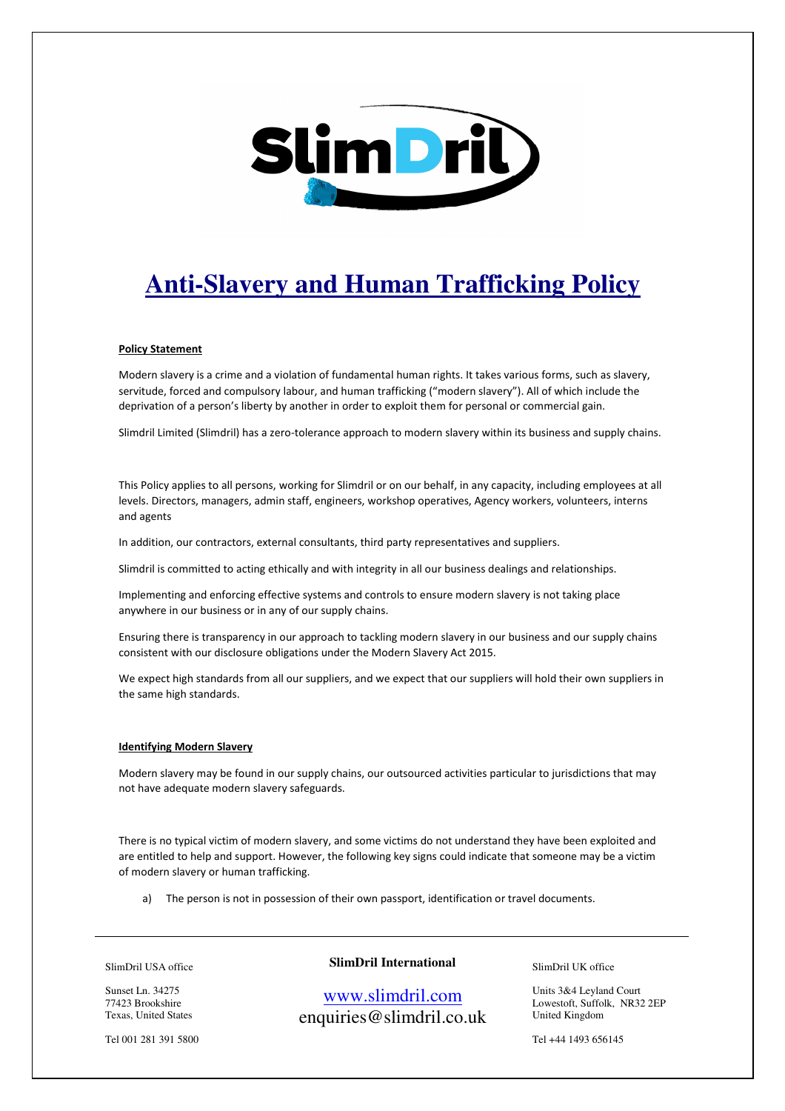

# **Anti-Slavery and Human Trafficking Policy**

## Policy Statement

Modern slavery is a crime and a violation of fundamental human rights. It takes various forms, such as slavery, servitude, forced and compulsory labour, and human trafficking ("modern slavery"). All of which include the deprivation of a person's liberty by another in order to exploit them for personal or commercial gain.

Slimdril Limited (Slimdril) has a zero-tolerance approach to modern slavery within its business and supply chains.

This Policy applies to all persons, working for Slimdril or on our behalf, in any capacity, including employees at all levels. Directors, managers, admin staff, engineers, workshop operatives, Agency workers, volunteers, interns and agents

In addition, our contractors, external consultants, third party representatives and suppliers.

Slimdril is committed to acting ethically and with integrity in all our business dealings and relationships.

Implementing and enforcing effective systems and controls to ensure modern slavery is not taking place anywhere in our business or in any of our supply chains.

Ensuring there is transparency in our approach to tackling modern slavery in our business and our supply chains consistent with our disclosure obligations under the Modern Slavery Act 2015.

We expect high standards from all our suppliers, and we expect that our suppliers will hold their own suppliers in the same high standards.

## Identifying Modern Slavery

Modern slavery may be found in our supply chains, our outsourced activities particular to jurisdictions that may not have adequate modern slavery safeguards.

There is no typical victim of modern slavery, and some victims do not understand they have been exploited and are entitled to help and support. However, the following key signs could indicate that someone may be a victim of modern slavery or human trafficking.

a) The person is not in possession of their own passport, identification or travel documents.

SlimDril USA office

Sunset Ln. 34275 77423 Brookshire Texas, United States

Tel 001 281 391 5800

# **SlimDril International**

www.slimdril.com enquiries@slimdril.co.uk SlimDril UK office

Units 3&4 Leyland Court Lowestoft, Suffolk, NR32 2EP United Kingdom

Tel +44 1493 656145